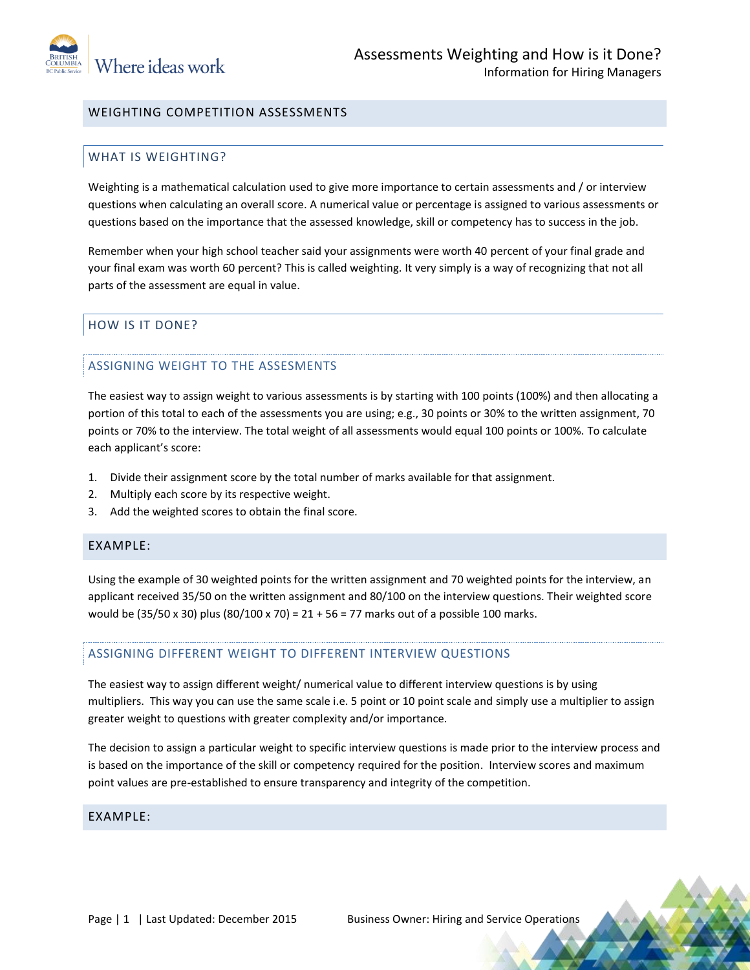

# WEIGHTING COMPETITION ASSESSMENTS

# WHAT IS WEIGHTING?

Weighting is a mathematical calculation used to give more importance to certain assessments and / or interview questions when calculating an overall score. A numerical value or percentage is assigned to various assessments or questions based on the importance that the assessed knowledge, skill or competency has to success in the job.

Remember when your high school teacher said your assignments were worth 40 percent of your final grade and your final exam was worth 60 percent? This is called weighting. It very simply is a way of recognizing that not all parts of the assessment are equal in value.

# HOW IS IT DONE?

# ASSIGNING WEIGHT TO THE ASSESMENTS

The easiest way to assign weight to various assessments is by starting with 100 points (100%) and then allocating a portion of this total to each of the assessments you are using; e.g., 30 points or 30% to the written assignment, 70 points or 70% to the interview. The total weight of all assessments would equal 100 points or 100%. To calculate each applicant's score:

- 1. Divide their assignment score by the total number of marks available for that assignment.
- 2. Multiply each score by its respective weight.
- 3. Add the weighted scores to obtain the final score.

# EXAMPLE:

Using the example of 30 weighted points for the written assignment and 70 weighted points for the interview, an applicant received 35/50 on the written assignment and 80/100 on the interview questions. Their weighted score would be (35/50 x 30) plus (80/100 x 70) = 21 + 56 = 77 marks out of a possible 100 marks.

# ASSIGNING DIFFERENT WEIGHT TO DIFFERENT INTERVIEW QUESTIONS

The easiest way to assign different weight/ numerical value to different interview questions is by using multipliers. This way you can use the same scale i.e. 5 point or 10 point scale and simply use a multiplier to assign greater weight to questions with greater complexity and/or importance.

The decision to assign a particular weight to specific interview questions is made prior to the interview process and is based on the importance of the skill or competency required for the position. Interview scores and maximum point values are pre-established to ensure transparency and integrity of the competition.

# EXAMPLE: